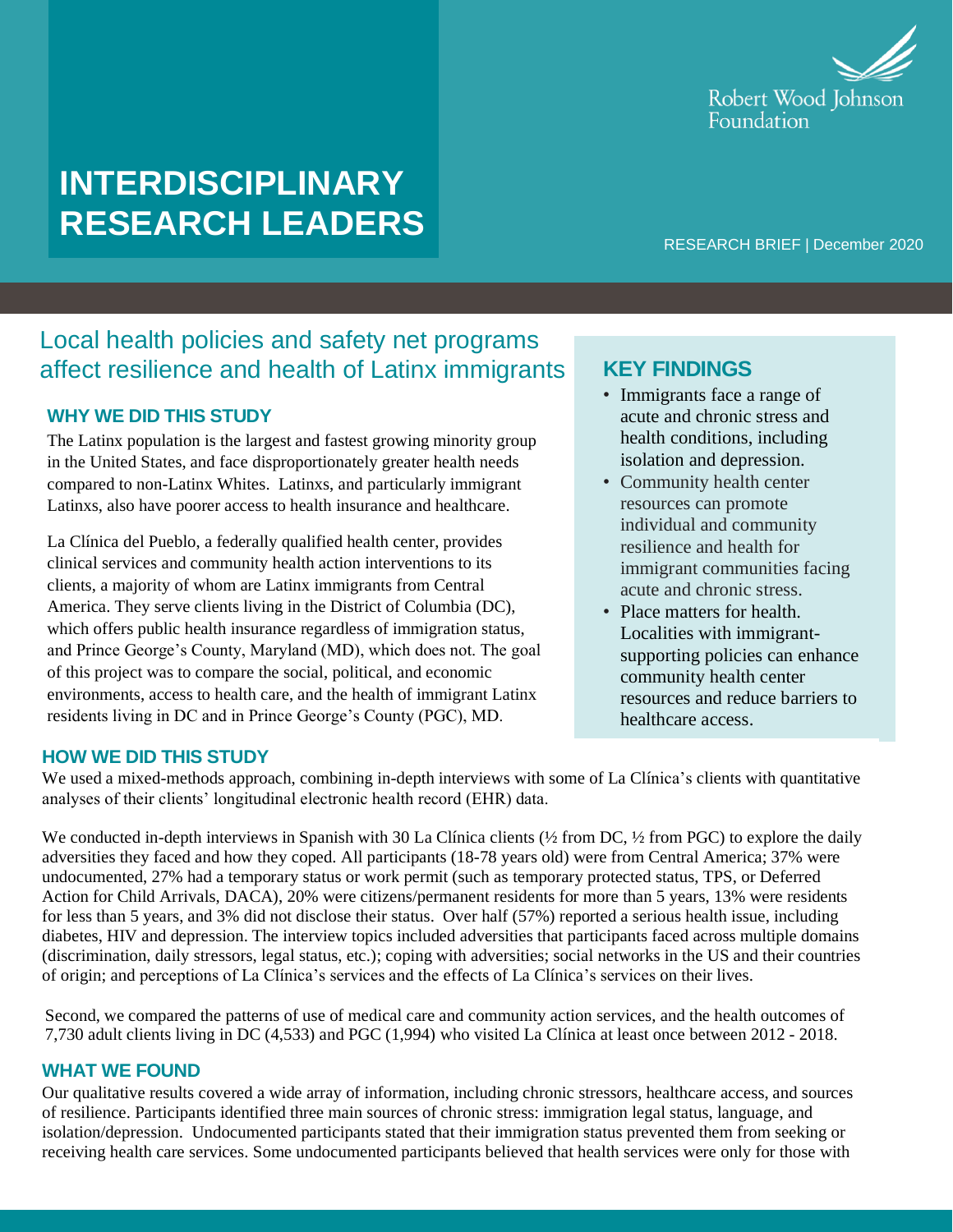

# **INTERDISCIPLINARY RESEARCH LEADERS**

RESEARCH BRIEF | December 2020

## Local health policies and safety net programs affect resilience and health of Latinx immigrants **KEY FINDINGS**

### **WHY WE DID THIS STUDY**

The Latinx population is the largest and fastest growing minority group in the United States, and face disproportionately greater health needs compared to non-Latinx Whites. Latinxs, and particularly immigrant Latinxs, also have poorer access to health insurance and healthcare.

La Clínica del Pueblo, a federally qualified health center, provides clinical services and community health action interventions to its clients, a majority of whom are Latinx immigrants from Central America. They serve clients living in the District of Columbia (DC), which offers public health insurance regardless of immigration status, and Prince George's County, Maryland (MD), which does not. The goal of this project was to compare the social, political, and economic environments, access to health care, and the health of immigrant Latinx residents living in DC and in Prince George's County (PGC), MD.

- Immigrants face a range of acute and chronic stress and health conditions, including isolation and depression.
- Community health center resources can promote individual and community resilience and health for immigrant communities facing acute and chronic stress.
- Place matters for health. Localities with immigrantsupporting policies can enhance community health center resources and reduce barriers to healthcare access.

#### **HOW WE DID THIS STUDY**

We used a mixed-methods approach, combining in-depth interviews with some of La Clínica's clients with quantitative analyses of their clients' longitudinal electronic health record (EHR) data.

We conducted in-depth interviews in Spanish with 30 La Clínica clients ( $\frac{1}{2}$  from DC,  $\frac{1}{2}$  from PGC) to explore the daily adversities they faced and how they coped. All participants (18-78 years old) were from Central America; 37% were undocumented, 27% had a temporary status or work permit (such as temporary protected status, TPS, or Deferred Action for Child Arrivals, DACA), 20% were citizens/permanent residents for more than 5 years, 13% were residents for less than 5 years, and 3% did not disclose their status. Over half (57%) reported a serious health issue, including diabetes, HIV and depression. The interview topics included adversities that participants faced across multiple domains (discrimination, daily stressors, legal status, etc.); coping with adversities; social networks in the US and their countries of origin; and perceptions of La Clínica's services and the effects of La Clínica's services on their lives.

Second, we compared the patterns of use of medical care and community action services, and the health outcomes of 7,730 adult clients living in DC (4,533) and PGC (1,994) who visited La Clínica at least once between 2012 - 2018.

### **WHAT WE FOUND**

Support for this provided by a grant from the Robert Wood Johnson Foundation Interdisciplinary Research The Ro<br>Support Foundation Interdisciplinary Research Leaders program. The Robert Leaders program international and the receiving health care services. Some undocumented participants believed that health services were only for those with Our qualitative results covered a wide array of information, including chronic stressors, healthcare access, and sources of resilience. Participants identified three main sources of chronic stress: immigration legal status, language, and isolation/depression. Undocumented participants stated that their immigration status prevented them from seeking or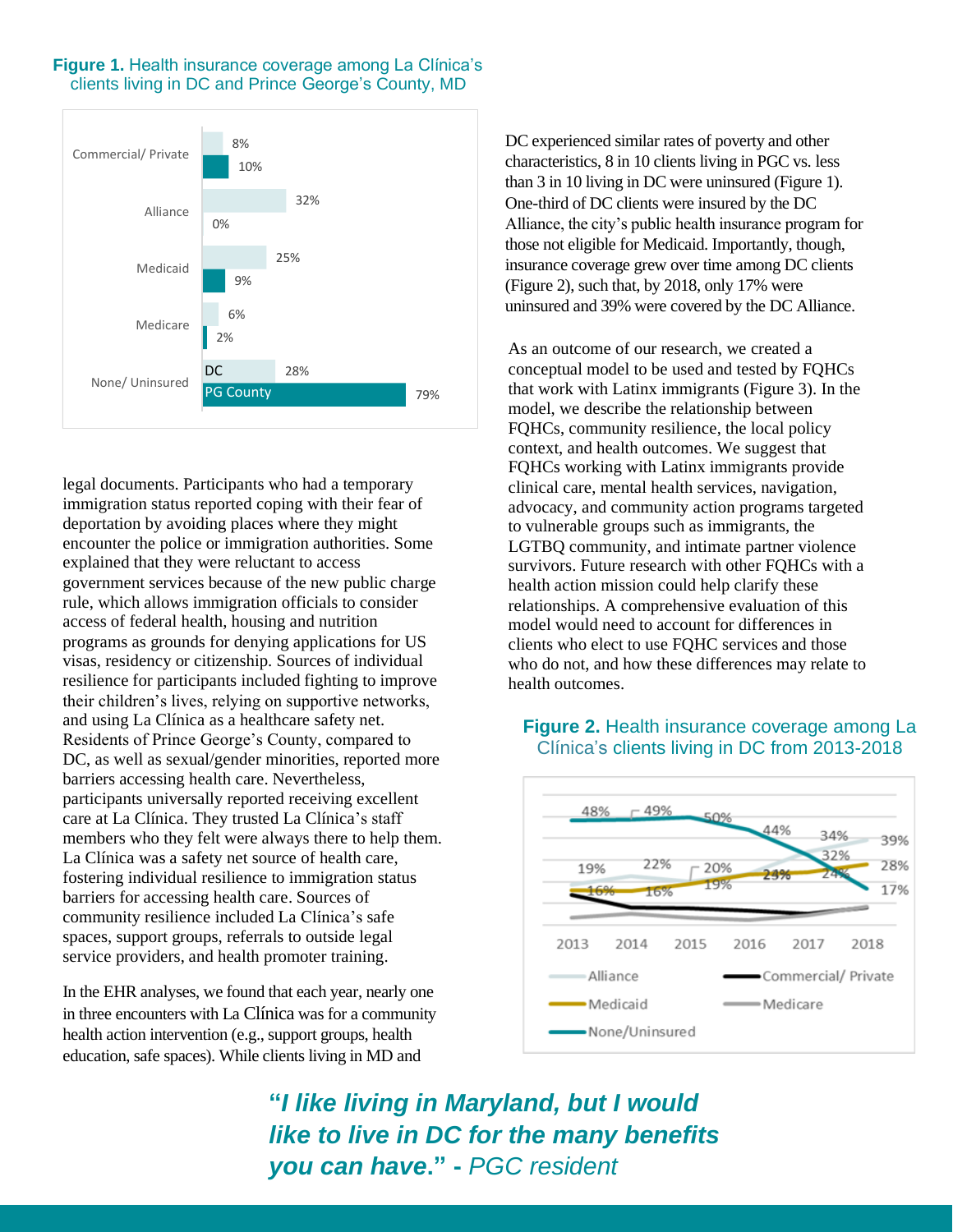#### **Figure 1.** Health insurance coverage among La Clínica's clients living in DC and Prince George's County, MD



legal documents. Participants who had a temporary immigration status reported coping with their fear of deportation by avoiding places where they might encounter the police or immigration authorities. Some explained that they were reluctant to access government services because of the new public charge rule, which allows immigration officials to consider access of federal health, housing and nutrition programs as grounds for denying applications for US visas, residency or citizenship. Sources of individual resilience for participants included fighting to improve their children's lives, relying on supportive networks, and using La Clínica as a healthcare safety net. Residents of Prince George's County, compared to DC, as well as sexual/gender minorities, reported more barriers accessing health care. Nevertheless, participants universally reported receiving excellent care at La Clínica. They trusted La Clínica's staff members who they felt were always there to help them. La Clínica was a safety net source of health care, fostering individual resilience to immigration status barriers for accessing health care. Sources of community resilience included La Clínica's safe spaces, support groups, referrals to outside legal service providers, and health promoter training.

In the EHR analyses, we found that each year, nearly one in three encounters with La Clínica was for a community health action intervention (e.g., support groups, health education, safe spaces). While clients living in MD and

DC experienced similar rates of poverty and other characteristics, 8 in 10 clients living in PGC vs. less than 3 in 10 living in DC were uninsured (Figure 1). One-third of DC clients were insured by the DC Alliance, the city's public health insurance program for those not eligible for Medicaid. Importantly, though, insurance coverage grew over time among DC clients (Figure 2), such that, by 2018, only 17% were uninsured and 39% were covered by the DC Alliance.

As an outcome of our research, we created a conceptual model to be used and tested by FQHCs that work with Latinx immigrants (Figure 3). In the model, we describe the relationship between FQHCs, community resilience, the local policy context, and health outcomes. We suggest that FQHCs working with Latinx immigrants provide clinical care, mental health services, navigation, advocacy, and community action programs targeted to vulnerable groups such as immigrants, the LGTBQ community, and intimate partner violence survivors. Future research with other FQHCs with a health action mission could help clarify these relationships. A comprehensive evaluation of this model would need to account for differences in clients who elect to use FQHC services and those who do not, and how these differences may relate to health outcomes.

#### **Figure 2.** Health insurance coverage among La Clínica's clients living in DC from 2013-2018



**"***I like living in Maryland, but I would like to live in DC for the many benefits you can have***." -** *PGC resident*